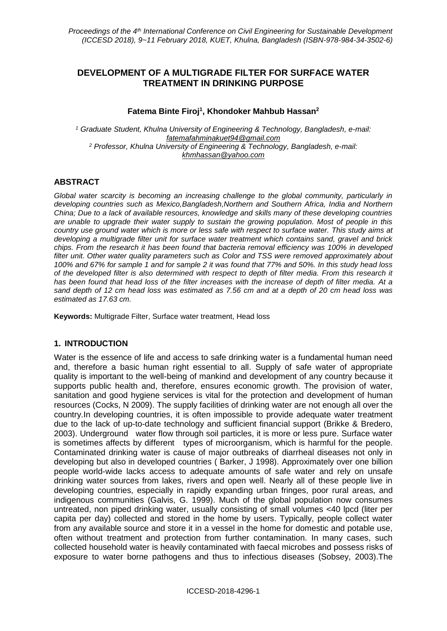# **DEVELOPMENT OF A MULTIGRADE FILTER FOR SURFACE WATER TREATMENT IN DRINKING PURPOSE**

## **Fatema Binte Firoj<sup>1</sup> , Khondoker Mahbub Hassan<sup>2</sup>**

*<sup>1</sup> Graduate Student, Khulna University of Engineering & Technology, Bangladesh, e-mail: fatemafahminakuet94@gmail.com <sup>2</sup> Professor, Khulna University of Engineering & Technology, Bangladesh, e-mail: khmhassan@yahoo.com*

### **ABSTRACT**

*Global water scarcity is becoming an increasing challenge to the global community, particularly in developing countries such as Mexico,Bangladesh,Northern and Southern Africa, India and Northern China; Due to a lack of available resources, knowledge and skills many of these developing countries are unable to upgrade their water supply to sustain the growing population. Most of people in this country use ground water which is more or less safe with respect to surface water. This study aims at developing a multigrade filter unit for surface water treatment which contains sand, gravel and brick chips. From the research it has been found that bacteria removal efficiency was 100% in developed filter unit. Other water quality parameters such as Color and TSS were removed approximately about 100% and 67% for sample 1 and for sample 2 it was found that 77% and 50%. In this study head loss of the developed filter is also determined with respect to depth of filter media. From this research it has been found that head loss of the filter increases with the increase of depth of filter media. At a sand depth of 12 cm head loss was estimated as 7.56 cm and at a depth of 20 cm head loss was estimated as 17.63 cm.*

**Keywords:** Multigrade Filter, Surface water treatment, Head loss

### **1. INTRODUCTION**

Water is the essence of life and access to safe drinking water is a fundamental human need and, therefore a basic human right essential to all. Supply of safe water of appropriate quality is important to the well-being of mankind and development of any country because it supports public health and, therefore, ensures economic growth. The provision of water, sanitation and good hygiene services is vital for the protection and development of human resources (Cocks, N 2009). The supply facilities of drinking water are not enough all over the country.In developing countries, it is often impossible to provide adequate water treatment due to the lack of up-to-date technology and sufficient financial support (Brikke & Bredero, 2003). Underground water flow through soil particles, it is more or less pure. Surface water is sometimes affects by different types of microorganism, which is harmful for the people. Contaminated drinking water is cause of major outbreaks of diarrheal diseases not only in developing but also in developed countries ( Barker, J 1998). Approximately over one billion people world-wide lacks access to adequate amounts of safe water and rely on unsafe drinking water sources from lakes, rivers and open well. Nearly all of these people live in developing countries, especially in rapidly expanding urban fringes, poor rural areas, and indigenous communities (Galvis, G. 1999). Much of the global population now consumes untreated, non piped drinking water, usually consisting of small volumes <40 lpcd (liter per capita per day) collected and stored in the home by users. Typically, people collect water from any available source and store it in a vessel in the home for domestic and potable use, often without treatment and protection from further contamination. In many cases, such collected household water is heavily contaminated with faecal microbes and possess risks of exposure to water borne pathogens and thus to infectious diseases (Sobsey, 2003).The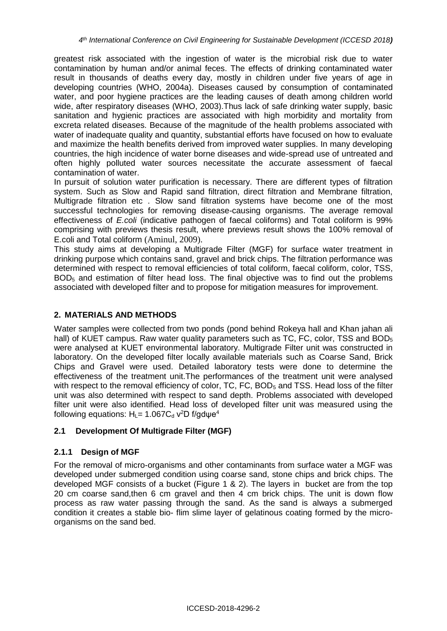greatest risk associated with the ingestion of water is the microbial risk due to water contamination by human and/or animal feces. The effects of drinking contaminated water result in thousands of deaths every day, mostly in children under five years of age in developing countries (WHO, 2004a). Diseases caused by consumption of contaminated water, and poor hygiene practices are the leading causes of death among children world wide, after respiratory diseases (WHO, 2003).Thus lack of safe drinking water supply, basic sanitation and hygienic practices are associated with high morbidity and mortality from excreta related diseases. Because of the magnitude of the health problems associated with water of inadequate quality and quantity, substantial efforts have focused on how to evaluate and maximize the health benefits derived from improved water supplies. In many developing countries, the high incidence of water borne diseases and wide-spread use of untreated and often highly polluted water sources necessitate the accurate assessment of faecal contamination of water.

In pursuit of solution water purification is necessary. There are different types of filtration system. Such as Slow and Rapid sand filtration, direct filtration and Membrane filtration, Multigrade filtration etc . Slow sand filtration systems have become one of the most successful technologies for removing disease-causing organisms. The average removal effectiveness of *E.coli* (indicative pathogen of faecal coliforms) and Total coliform is 99% comprising with previews thesis result, where previews result shows the 100% removal of E.coli and Total coliform (Aminul, 2009).

This study aims at developing a Multigrade Filter (MGF) for surface water treatment in drinking purpose which contains sand, gravel and brick chips. The filtration performance was determined with respect to removal efficiencies of total coliform, faecal coliform, color, TSS, BOD<sub>5</sub> and estimation of filter head loss. The final objective was to find out the problems associated with developed filter and to propose for mitigation measures for improvement.

#### **2. MATERIALS AND METHODS**

Water samples were collected from two ponds (pond behind Rokeya hall and Khan jahan ali hall) of KUET campus. Raw water quality parameters such as TC, FC, color, TSS and BOD<sub>5</sub> were analysed at KUET environmental laboratory. Multigrade Filter unit was constructed in laboratory. On the developed filter locally available materials such as Coarse Sand, Brick Chips and Gravel were used. Detailed laboratory tests were done to determine the effectiveness of the treatment unit.The performances of the treatment unit were analysed with respect to the removal efficiency of color,  $TC$ ,  $FC$ ,  $BOD<sub>5</sub>$  and TSS. Head loss of the filter unit was also determined with respect to sand depth. Problems associated with developed filter unit were also identified. Head loss of developed filter unit was measured using the following equations:  $H<sub>L</sub> = 1.067C<sub>d</sub>$  v<sup>2</sup>D f/gdψe<sup>4</sup>

### **2.1 Development Of Multigrade Filter (MGF)**

### **2.1.1 Design of MGF**

For the removal of micro-organisms and other contaminants from surface water a MGF was developed under submerged condition using coarse sand, stone chips and brick chips. The developed MGF consists of a bucket (Figure 1 & 2). The layers in bucket are from the top 20 cm coarse sand,then 6 cm gravel and then 4 cm brick chips. The unit is down flow process as raw water passing through the sand. As the sand is always a submerged condition it creates a stable bio- flim slime layer of gelatinous coating formed by the microorganisms on the sand bed.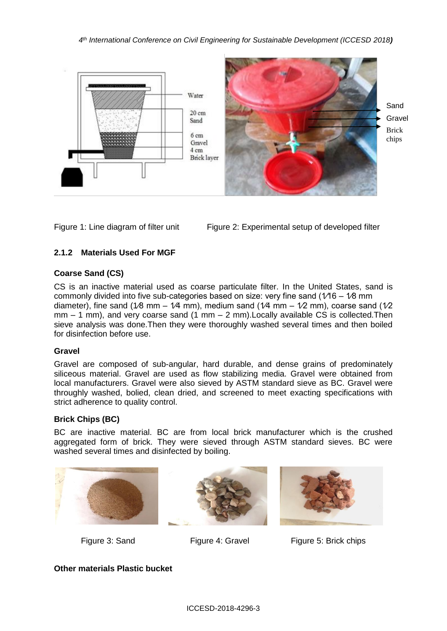*4 th International Conference on Civil Engineering for Sustainable Development (ICCESD 2018)*



Figure 1: Line diagram of filter unit Figure 2: Experimental setup of developed filter

# **2.1.2 Materials Used For MGF**

## **Coarse Sand (CS)**

CS is an inactive material used as coarse particulate filter. In the United States, sand is commonly divided into five sub-categories based on size: very fine sand ( $1/16 - 1/8$  mm diameter), fine sand (1/8 mm – 1/4 mm), medium sand (1/4 mm – 1/2 mm), coarse sand (1/2  $mm - 1$  mm), and very coarse sand (1 mm  $- 2$  mm). Locally available CS is collected. Then sieve analysis was done.Then they were thoroughly washed several times and then boiled for disinfection before use.

### **Gravel**

Gravel are composed of sub-angular, hard durable, and dense grains of predominately siliceous material. Gravel are used as flow stabilizing media. Gravel were obtained from local manufacturers. Gravel were also sieved by ASTM standard sieve as BC. Gravel were throughly washed, bolied, clean dried, and screened to meet exacting specifications with strict adherence to quality control.

# **Brick Chips (BC)**

BC are inactive material. BC are from local brick manufacturer which is the crushed aggregated form of brick. They were sieved through ASTM standard sieves. BC were washed several times and disinfected by boiling.







Figure 3: Sand Figure 4: Gravel Figure 5: Brick chips

**Other materials Plastic bucket**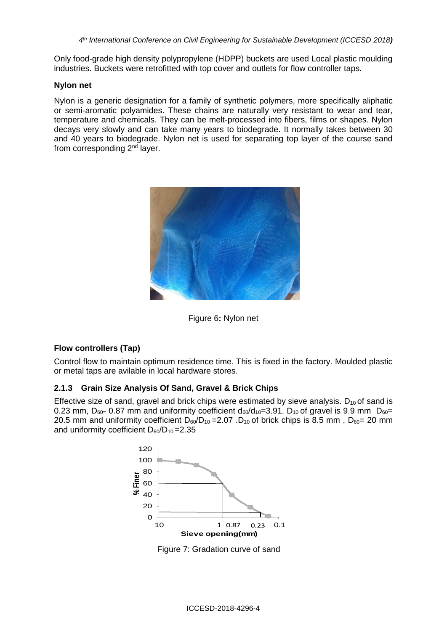Only food-grade high density polypropylene (HDPP) buckets are used Local plastic moulding industries. Buckets were retrofitted with top cover and outlets for flow controller taps.

#### **Nylon net**

Nylon is a generic designation for a family of synthetic polymers, more specifically aliphatic or semi-aromatic polyamides. These chains are naturally very resistant to wear and tear, temperature and chemicals. They can be melt-processed into fibers, films or shapes. Nylon decays very slowly and can take many years to biodegrade. It normally takes between 30 and 40 years to biodegrade. Nylon net is used for separating top layer of the course sand from corresponding 2<sup>nd</sup> layer.



Figure 6**:** Nylon net

### **Flow controllers (Tap)**

Control flow to maintain optimum residence time. This is fixed in the factory. Moulded plastic or metal taps are avilable in local hardware stores.

### **2.1.3 Grain Size Analysis Of Sand, Gravel & Brick Chips**

Effective size of sand, gravel and brick chips were estimated by sieve analysis.  $D_{10}$  of sand is 0.23 mm,  $D_{60=}$  0.87 mm and uniformity coefficient  $d_{60}/d_{10}=3.91$ .  $D_{10}$  of gravel is 9.9 mm  $D_{60}=$ 20.5 mm and uniformity coefficient  $D_{60}/D_{10} = 2.07$ .  $D_{10}$  of brick chips is 8.5 mm,  $D_{60} = 20$  mm and uniformity coefficient  $D_{60}/D_{10} = 2.35$ 



Figure 7: Gradation curve of sand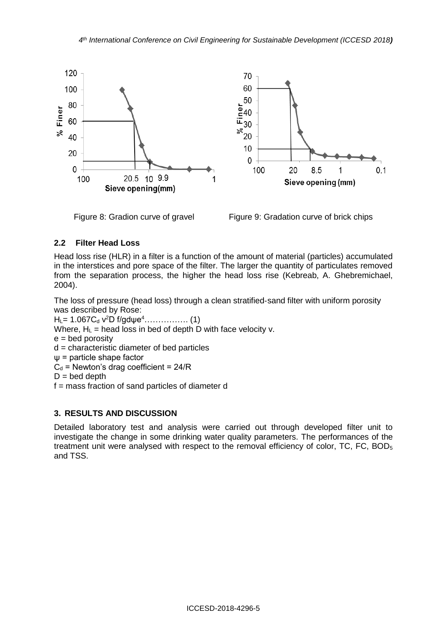

Figure 8: Gradion curve of gravelFigure 9: Gradation curve of brick chips

## **2.2 Filter Head Loss**

Head loss rise (HLR) in a filter is a function of the amount of material (particles) accumulated in the interstices and pore space of the filter. The larger the quantity of particulates removed from the separation process, the higher the head loss rise (Kebreab, A. Ghebremichael, 2004).

The loss of pressure (head loss) through a clean stratified-sand filter with uniform porosity was described by Rose:

HL= 1.067C<sup>d</sup> v <sup>2</sup>D f/gdψe<sup>4</sup>……………. (1)

Where,  $H_L$  = head loss in bed of depth D with face velocity v.

 $e =$  bed porosity

d = characteristic diameter of bed particles

ψ = particle shape factor

 $C_d$  = Newton's drag coefficient = 24/R

 $D =$  bed depth

f = mass fraction of sand particles of diameter d

### **3. RESULTS AND DISCUSSION**

Detailed laboratory test and analysis were carried out through developed filter unit to investigate the change in some drinking water quality parameters. The performances of the treatment unit were analysed with respect to the removal efficiency of color, TC, FC, BOD<sub>5</sub> and TSS.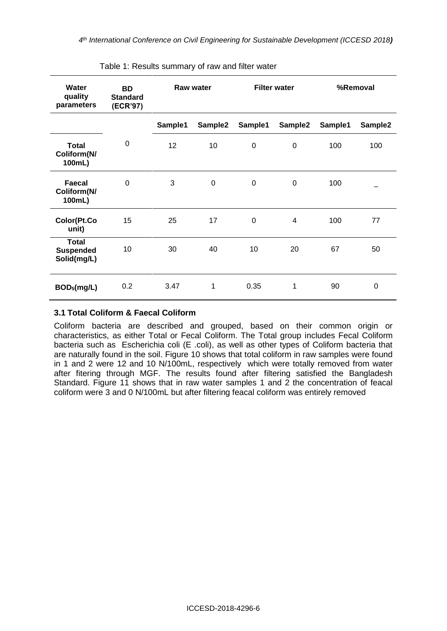| <b>Water</b><br>quality<br>parameters           | <b>BD</b><br><b>Standard</b><br>(ECR'97) | <b>Raw water</b> |         | <b>Filter water</b> |                | %Removal |                  |
|-------------------------------------------------|------------------------------------------|------------------|---------|---------------------|----------------|----------|------------------|
|                                                 |                                          | Sample1          | Sample2 | Sample1             | Sample2        | Sample1  | Sample2          |
| <b>Total</b><br>Coliform(N/<br>100mL)           | $\mathbf 0$                              | 12               | 10      | 0                   | $\mathbf 0$    | 100      | 100              |
| Faecal<br>Coliform(N/<br>100mL)                 | $\mathbf 0$                              | 3                | 0       | $\Omega$            | $\Omega$       | 100      |                  |
| Color(Pt.Co<br>unit)                            | 15                                       | 25               | 17      | 0                   | $\overline{4}$ | 100      | 77               |
| <b>Total</b><br><b>Suspended</b><br>Solid(mg/L) | 10                                       | 30               | 40      | 10                  | 20             | 67       | 50               |
| BOD <sub>5</sub> (mg/L)                         | 0.2                                      | 3.47             | 1       | 0.35                | 1              | 90       | $\boldsymbol{0}$ |

Table 1: Results summary of raw and filter water

## **3.1 Total Coliform & Faecal Coliform**

Coliform bacteria are described and grouped, based on their common origin or characteristics, as either Total or Fecal Coliform. The Total group includes Fecal Coliform bacteria such as Escherichia coli (E .coli), as well as other types of Coliform bacteria that are naturally found in the soil. Figure 10 shows that total coliform in raw samples were found in 1 and 2 were 12 and 10 N/100mL, respectively which were totally removed from water after fitering through MGF. The results found after filtering satisfied the Bangladesh Standard. Figure 11 shows that in raw water samples 1 and 2 the concentration of feacal coliform were 3 and 0 N/100mL but after filtering feacal coliform was entirely removed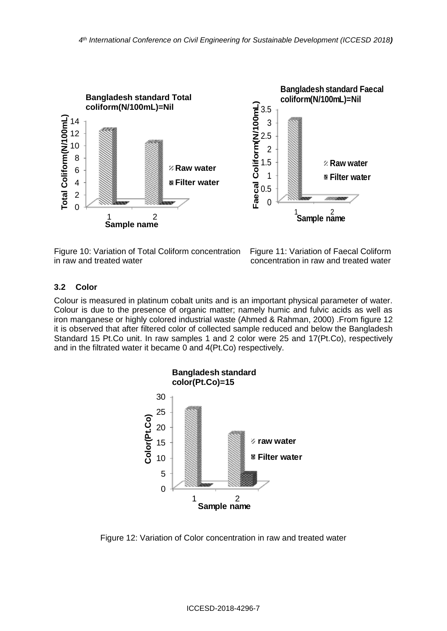

Figure 10: Variation of Total Coliform concentration Figure 11: Variation of Faecal Coliform in raw and treated water **concentration** in raw and treated water

### **3.2 Color**

Colour is measured in platinum cobalt units and is an important physical parameter of water. Colour is due to the presence of organic matter; namely humic and fulvic acids as well as iron manganese or highly colored industrial waste (Ahmed & Rahman, 2000) .From figure 12 it is observed that after filtered color of collected sample reduced and below the Bangladesh Standard 15 Pt.Co unit. In raw samples 1 and 2 color were 25 and 17(Pt.Co), respectively and in the filtrated water it became 0 and 4(Pt.Co) respectively.



Figure 12: Variation of Color concentration in raw and treated water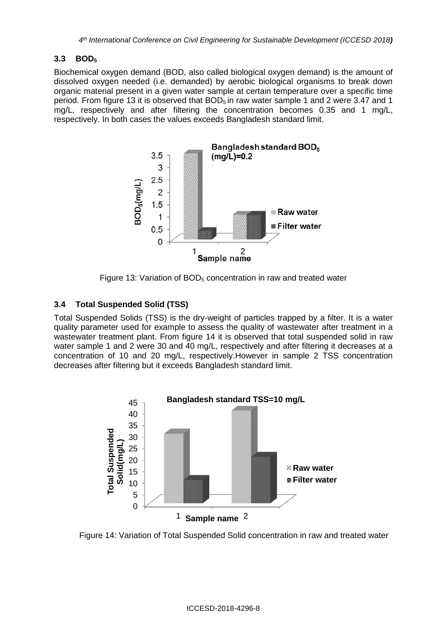## **3.3 BOD<sup>5</sup>**

Biochemical oxygen demand (BOD, also called biological oxygen demand) is the amount of [dissolved oxygen](https://en.wikipedia.org/wiki/Oxygenation_%28environmental%29) needed (i.e. demanded) by aerobic biological organisms to break down organic material present in a given water sample at certain temperature over a specific time period. From figure 13 it is observed that  $BOD<sub>5</sub>$  in raw water sample 1 and 2 were 3.47 and 1 mg/L, respectively and after filtering the concentration becomes 0.35 and 1 mg/L, respectively. In both cases the values exceeds Bangladesh standard limit.



Figure 13: Variation of BOD<sub>5</sub> concentration in raw and treated water

## **3.4 Total Suspended Solid (TSS)**

Total Suspended Solids (TSS) is the dry-weight of particles trapped by a [filter.](https://en.wikipedia.org/wiki/Filter_%28chemistry%29) It is a [water](https://en.wikipedia.org/wiki/Water_quality)  [quality](https://en.wikipedia.org/wiki/Water_quality) parameter used for example to assess the quality of [wastewater](https://en.wikipedia.org/wiki/Wastewater) after treatment in a [wastewater treatment plant.](https://en.wikipedia.org/wiki/Wastewater_treatment_plant) From figure 14 it is observed that total suspended solid in raw water sample 1 and 2 were 30 and 40 mg/L, respectively and after filtering it decreases at a concentration of 10 and 20 mg/L, respectively.However in sample 2 TSS concentration decreases after filtering but it exceeds Bangladesh standard limit.



Figure 14: Variation of Total Suspended Solid concentration in raw and treated water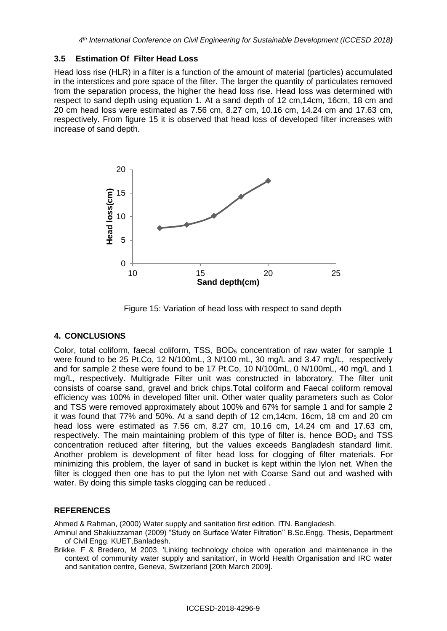#### **3.5 Estimation Of Filter Head Loss**

Head loss rise (HLR) in a filter is a function of the amount of material (particles) accumulated in the interstices and pore space of the filter. The larger the quantity of particulates removed from the separation process, the higher the head loss rise. Head loss was determined with respect to sand depth using equation 1. At a sand depth of 12 cm,14cm, 16cm, 18 cm and 20 cm head loss were estimated as 7.56 cm, 8.27 cm, 10.16 cm, 14.24 cm and 17.63 cm, respectively. From figure 15 it is observed that head loss of developed filter increases with increase of sand depth.



Figure 15: Variation of head loss with respect to sand depth

### **4. CONCLUSIONS**

Color, total coliform, faecal coliform, TSS, BOD<sub>5</sub> concentration of raw water for sample 1 were found to be 25 Pt.Co, 12 N/100mL, 3 N/100 mL, 30 mg/L and 3.47 mg/L, respectively and for sample 2 these were found to be 17 Pt.Co, 10 N/100mL, 0 N/100mL, 40 mg/L and 1 mg/L, respectively. Multigrade Filter unit was constructed in laboratory. The filter unit consists of coarse sand, gravel and brick chips.Total coliform and Faecal coliform removal efficiency was 100% in developed filter unit. Other water quality parameters such as Color and TSS were removed approximately about 100% and 67% for sample 1 and for sample 2 it was found that 77% and 50%. At a sand depth of 12 cm,14cm, 16cm, 18 cm and 20 cm head loss were estimated as 7.56 cm, 8.27 cm, 10.16 cm, 14.24 cm and 17.63 cm, respectively. The main maintaining problem of this type of filter is, hence BOD<sub>5</sub> and TSS concentration reduced after filtering, but the values exceeds Bangladesh standard limit. Another problem is development of filter head loss for clogging of filter materials. For minimizing this problem, the layer of sand in bucket is kept within the lylon net. When the filter is clogged then one has to put the lylon net with Coarse Sand out and washed with water. By doing this simple tasks clogging can be reduced .

### **REFERENCES**

Ahmed & Rahman, (2000) Water supply and sanitation first edition. ITN. Bangladesh.

Aminul and Shakiuzzaman (2009) "Study on Surface Water Filtration'' B.Sc.Engg. Thesis, Department of Civil Engg. KUET,Banladesh.

Brikke, F & Bredero, M 2003, 'Linking technology choice with operation and maintenance in the context of community water supply and sanitation', in World Health Organisation and IRC water and sanitation centre, Geneva, Switzerland [20th March 2009].